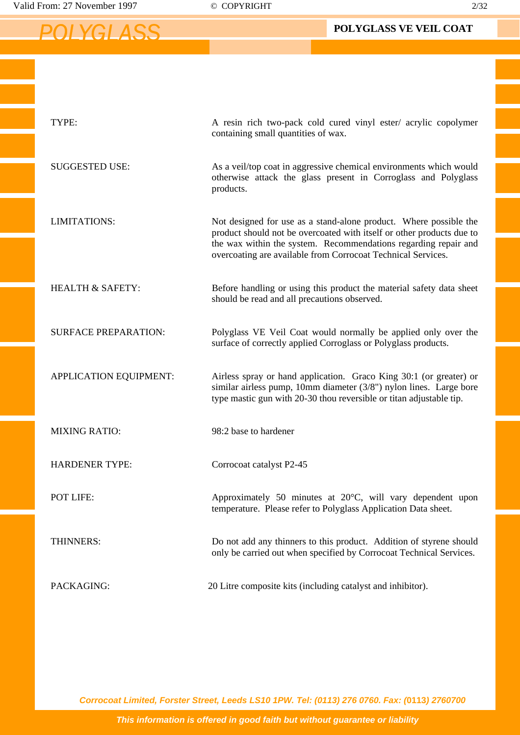Valid From: 27 November 1997 © COPYRIGHT 2/32

 *POLYGLASS*

| TYPE:                       | A resin rich two-pack cold cured vinyl ester/ acrylic copolymer<br>containing small quantities of wax.                                                                                                                                                                        |
|-----------------------------|-------------------------------------------------------------------------------------------------------------------------------------------------------------------------------------------------------------------------------------------------------------------------------|
| <b>SUGGESTED USE:</b>       | As a veil/top coat in aggressive chemical environments which would<br>otherwise attack the glass present in Corroglass and Polyglass<br>products.                                                                                                                             |
| <b>LIMITATIONS:</b>         | Not designed for use as a stand-alone product. Where possible the<br>product should not be overcoated with itself or other products due to<br>the wax within the system. Recommendations regarding repair and<br>overcoating are available from Corrocoat Technical Services. |
| <b>HEALTH &amp; SAFETY:</b> | Before handling or using this product the material safety data sheet<br>should be read and all precautions observed.                                                                                                                                                          |
| <b>SURFACE PREPARATION:</b> | Polyglass VE Veil Coat would normally be applied only over the<br>surface of correctly applied Corroglass or Polyglass products.                                                                                                                                              |
| APPLICATION EQUIPMENT:      | Airless spray or hand application. Graco King 30:1 (or greater) or<br>similar airless pump, 10mm diameter (3/8") nylon lines. Large bore<br>type mastic gun with 20-30 thou reversible or titan adjustable tip.                                                               |
| <b>MIXING RATIO:</b>        | 98:2 base to hardener                                                                                                                                                                                                                                                         |
| <b>HARDENER TYPE:</b>       | Corrocoat catalyst P2-45                                                                                                                                                                                                                                                      |
| POT LIFE:                   | Approximately 50 minutes at 20°C, will vary dependent upon<br>temperature. Please refer to Polyglass Application Data sheet.                                                                                                                                                  |
| THINNERS:                   | Do not add any thinners to this product. Addition of styrene should<br>only be carried out when specified by Corrocoat Technical Services.                                                                                                                                    |
| PACKAGING:                  | 20 Litre composite kits (including catalyst and inhibitor).                                                                                                                                                                                                                   |

*Corrocoat Limited, Forster Street, Leeds LS10 1PW. Tel: (0113) 276 0760. Fax: (***0113***) 2760700*